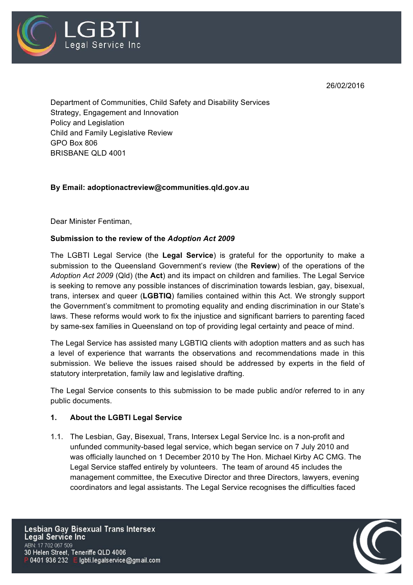

26/02/2016

Department of Communities, Child Safety and Disability Services Strategy, Engagement and Innovation Policy and Legislation Child and Family Legislative Review GPO Box 806 BRISBANE QLD 4001

### **By Email: adoptionactreview@communities.qld.gov.au**

Dear Minister Fentiman,

### **Submission to the review of the** *Adoption Act 2009*

The LGBTI Legal Service (the **Legal Service**) is grateful for the opportunity to make a submission to the Queensland Government's review (the **Review**) of the operations of the *Adoption Act 2009* (Qld) (the **Act**) and its impact on children and families. The Legal Service is seeking to remove any possible instances of discrimination towards lesbian, gay, bisexual, trans, intersex and queer (**LGBTIQ**) families contained within this Act. We strongly support the Government's commitment to promoting equality and ending discrimination in our State's laws. These reforms would work to fix the injustice and significant barriers to parenting faced by same-sex families in Queensland on top of providing legal certainty and peace of mind.

The Legal Service has assisted many LGBTIQ clients with adoption matters and as such has a level of experience that warrants the observations and recommendations made in this submission. We believe the issues raised should be addressed by experts in the field of statutory interpretation, family law and legislative drafting.

The Legal Service consents to this submission to be made public and/or referred to in any public documents.

#### **1. About the LGBTI Legal Service**

1.1. The Lesbian, Gay, Bisexual, Trans, Intersex Legal Service Inc. is a non-profit and unfunded community-based legal service, which began service on 7 July 2010 and was officially launched on 1 December 2010 by The Hon. Michael Kirby AC CMG. The Legal Service staffed entirely by volunteers. The team of around 45 includes the management committee, the Executive Director and three Directors, lawyers, evening coordinators and legal assistants. The Legal Service recognises the difficulties faced

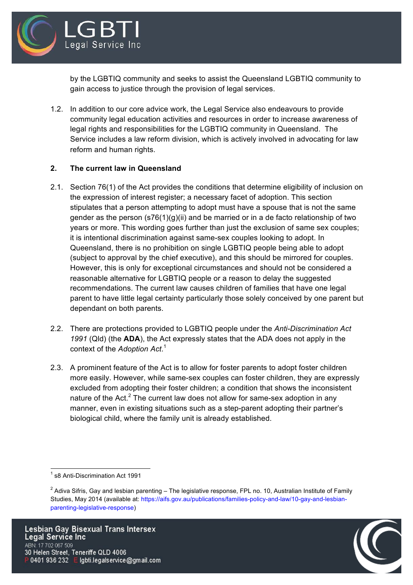

by the LGBTIQ community and seeks to assist the Queensland LGBTIQ community to gain access to justice through the provision of legal services.

1.2. In addition to our core advice work, the Legal Service also endeavours to provide community legal education activities and resources in order to increase awareness of legal rights and responsibilities for the LGBTIQ community in Queensland. The Service includes a law reform division, which is actively involved in advocating for law reform and human rights.

# **2. The current law in Queensland**

- 2.1. Section 76(1) of the Act provides the conditions that determine eligibility of inclusion on the expression of interest register; a necessary facet of adoption. This section stipulates that a person attempting to adopt must have a spouse that is not the same gender as the person  $(s76(1)(g)(ii)$  and be married or in a de facto relationship of two years or more. This wording goes further than just the exclusion of same sex couples; it is intentional discrimination against same-sex couples looking to adopt. In Queensland, there is no prohibition on single LGBTIQ people being able to adopt (subject to approval by the chief executive), and this should be mirrored for couples. However, this is only for exceptional circumstances and should not be considered a reasonable alternative for LGBTIQ people or a reason to delay the suggested recommendations. The current law causes children of families that have one legal parent to have little legal certainty particularly those solely conceived by one parent but dependant on both parents.
- 2.2. There are protections provided to LGBTIQ people under the *Anti-Discrimination Act 1991* (Qld) (the **ADA**), the Act expressly states that the ADA does not apply in the context of the *Adoption Act*. 1
- 2.3. A prominent feature of the Act is to allow for foster parents to adopt foster children more easily. However, while same-sex couples can foster children, they are expressly excluded from adopting their foster children; a condition that shows the inconsistent nature of the Act.<sup>2</sup> The current law does not allow for same-sex adoption in any manner, even in existing situations such as a step-parent adopting their partner's biological child, where the family unit is already established.



<sup>&</sup>lt;sup>1</sup> s8 Anti-Discrimination Act 1991

 $2$  Adiva Sifris, Gay and lesbian parenting – The legislative response, FPL no. 10, Australian Institute of Family Studies, May 2014 (available at: https://aifs.gov.au/publications/families-policy-and-law/10-gay-and-lesbianparenting-legislative-response)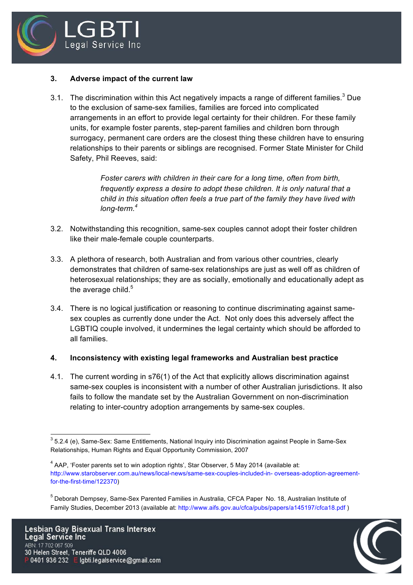

### **3. Adverse impact of the current law**

3.1. The discrimination within this Act negatively impacts a range of different families.<sup>3</sup> Due to the exclusion of same-sex families, families are forced into complicated arrangements in an effort to provide legal certainty for their children. For these family units, for example foster parents, step-parent families and children born through surrogacy, permanent care orders are the closest thing these children have to ensuring relationships to their parents or siblings are recognised. Former State Minister for Child Safety, Phil Reeves, said:

> *Foster carers with children in their care for a long time, often from birth, frequently express a desire to adopt these children. It is only natural that a child in this situation often feels a true part of the family they have lived with long-term.4*

- 3.2. Notwithstanding this recognition, same-sex couples cannot adopt their foster children like their male-female couple counterparts.
- 3.3. A plethora of research, both Australian and from various other countries, clearly demonstrates that children of same-sex relationships are just as well off as children of heterosexual relationships; they are as socially, emotionally and educationally adept as the average child. $5$
- 3.4. There is no logical justification or reasoning to continue discriminating against samesex couples as currently done under the Act. Not only does this adversely affect the LGBTIQ couple involved, it undermines the legal certainty which should be afforded to all families.

### **4. Inconsistency with existing legal frameworks and Australian best practice**

4.1. The current wording in s76(1) of the Act that explicitly allows discrimination against same-sex couples is inconsistent with a number of other Australian jurisdictions. It also fails to follow the mandate set by the Australian Government on non-discrimination relating to inter-country adoption arrangements by same-sex couples.



<sup>&</sup>lt;sup>3</sup> 5.2.4 (e), Same-Sex: Same Entitlements, National Inquiry into Discrimination against People in Same-Sex Relationships, Human Rights and Equal Opportunity Commission, 2007

<sup>&</sup>lt;sup>4</sup> AAP, 'Foster parents set to win adoption rights', Star Observer, 5 May 2014 (available at: http://www.starobserver.com.au/news/local-news/same-sex-couples-included-in- overseas-adoption-agreementfor-the-first-time/122370)

<sup>5</sup> Deborah Dempsey, Same-Sex Parented Families in Australia, CFCA Paper No. 18, Australian Institute of Family Studies, December 2013 (available at: http://www.aifs.gov.au/cfca/pubs/papers/a145197/cfca18.pdf )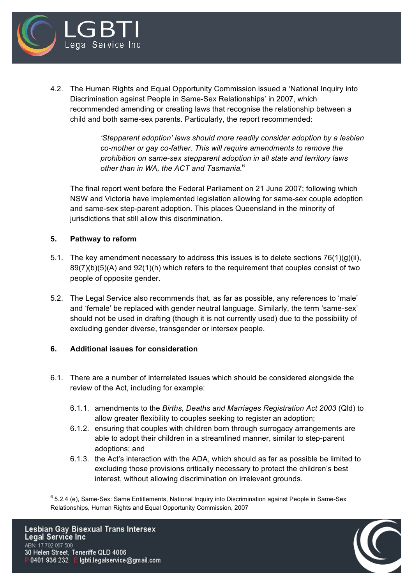

4.2. The Human Rights and Equal Opportunity Commission issued a 'National Inquiry into Discrimination against People in Same-Sex Relationships' in 2007, which recommended amending or creating laws that recognise the relationship between a child and both same-sex parents. Particularly, the report recommended:

> *'Stepparent adoption' laws should more readily consider adoption by a lesbian co-mother or gay co-father. This will require amendments to remove the prohibition on same-sex stepparent adoption in all state and territory laws other than in WA, the ACT and Tasmania.*<sup>6</sup>

The final report went before the Federal Parliament on 21 June 2007; following which NSW and Victoria have implemented legislation allowing for same-sex couple adoption and same-sex step-parent adoption. This places Queensland in the minority of jurisdictions that still allow this discrimination.

# **5. Pathway to reform**

- 5.1. The key amendment necessary to address this issues is to delete sections  $76(1)(g)(ii)$ , 89(7)(b)(5)(A) and 92(1)(h) which refers to the requirement that couples consist of two people of opposite gender.
- 5.2. The Legal Service also recommends that, as far as possible, any references to 'male' and 'female' be replaced with gender neutral language. Similarly, the term 'same-sex' should not be used in drafting (though it is not currently used) due to the possibility of excluding gender diverse, transgender or intersex people.

# **6. Additional issues for consideration**

- 6.1. There are a number of interrelated issues which should be considered alongside the review of the Act, including for example:
	- 6.1.1. amendments to the *Births, Deaths and Marriages Registration Act 2003* (Qld) to allow greater flexibility to couples seeking to register an adoption;
	- 6.1.2. ensuring that couples with children born through surrogacy arrangements are able to adopt their children in a streamlined manner, similar to step-parent adoptions; and
	- 6.1.3. the Act's interaction with the ADA, which should as far as possible be limited to excluding those provisions critically necessary to protect the children's best interest, without allowing discrimination on irrelevant grounds.



<sup>&</sup>lt;sup>6</sup> 5.2.4 (e), Same-Sex: Same Entitlements, National Inquiry into Discrimination against People in Same-Sex Relationships, Human Rights and Equal Opportunity Commission, 2007